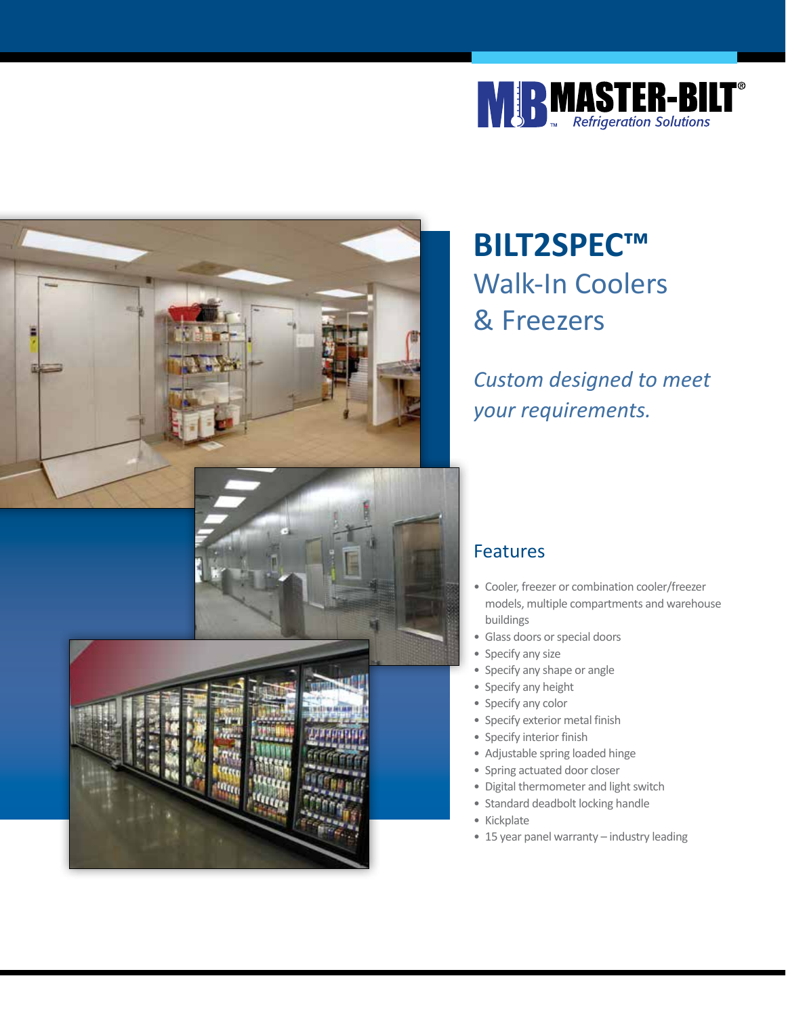



# **BILT2SPEC™**  Walk-In Coolers & Freezers

*Custom designed to meet your requirements.*

#### Features

- Cooler, freezer or combination cooler/freezer models, multiple compartments and warehouse buildings
- Glass doors or special doors
- Specify any size
- Specify any shape or angle
- Specify any height
- Specify any color
- Specify exterior metal finish
- Specify interior finish
- Adjustable spring loaded hinge
- Spring actuated door closer
- Digital thermometer and light switch
- Standard deadbolt locking handle
- Kickplate
- 15 year panel warranty industry leading